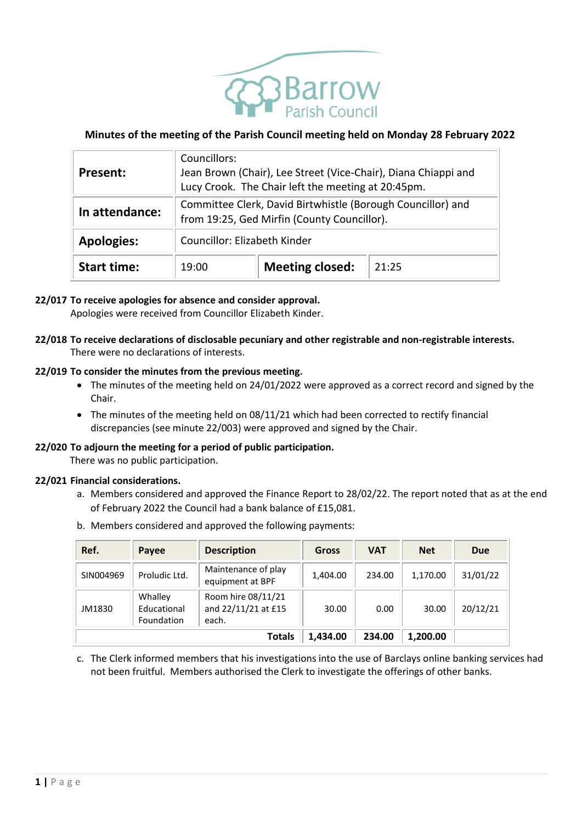

# **Minutes of the meeting of the Parish Council meeting held on Monday 28 February 2022**

| <b>Present:</b>    | Councillors:<br>Jean Brown (Chair), Lee Street (Vice-Chair), Diana Chiappi and<br>Lucy Crook. The Chair left the meeting at 20:45pm. |                        |       |  |  |  |
|--------------------|--------------------------------------------------------------------------------------------------------------------------------------|------------------------|-------|--|--|--|
| In attendance:     | Committee Clerk, David Birtwhistle (Borough Councillor) and<br>from 19:25, Ged Mirfin (County Councillor).                           |                        |       |  |  |  |
| <b>Apologies:</b>  | Councillor: Elizabeth Kinder                                                                                                         |                        |       |  |  |  |
| <b>Start time:</b> | 19:00                                                                                                                                | <b>Meeting closed:</b> | 21:25 |  |  |  |

### **22/017 To receive apologies for absence and consider approval.**

Apologies were received from Councillor Elizabeth Kinder.

### **22/018 To receive declarations of disclosable pecuniary and other registrable and non-registrable interests.** There were no declarations of interests.

### **22/019 To consider the minutes from the previous meeting.**

- The minutes of the meeting held on 24/01/2022 were approved as a correct record and signed by the Chair.
- The minutes of the meeting held on 08/11/21 which had been corrected to rectify financial discrepancies (see minute 22/003) were approved and signed by the Chair.

#### **22/020 To adjourn the meeting for a period of public participation.**

There was no public participation.

#### **22/021 Financial considerations.**

- a. Members considered and approved the Finance Report to 28/02/22. The report noted that as at the end of February 2022 the Council had a bank balance of £15,081.
- b. Members considered and approved the following payments:

| Ref.      | Payee                                | <b>Description</b>                                 | Gross    | <b>VAT</b> | <b>Net</b> | <b>Due</b> |
|-----------|--------------------------------------|----------------------------------------------------|----------|------------|------------|------------|
| SIN004969 | Proludic Ltd.                        | Maintenance of play<br>equipment at BPF            | 1.404.00 | 234.00     | 1.170.00   | 31/01/22   |
| JM1830    | Whalley<br>Educational<br>Foundation | Room hire 08/11/21<br>and 22/11/21 at £15<br>each. | 30.00    | 0.00       | 30.00      | 20/12/21   |
|           |                                      | <b>Totals</b>                                      | 1,434.00 | 234.00     | 1,200.00   |            |

c. The Clerk informed members that his investigations into the use of Barclays online banking services had not been fruitful. Members authorised the Clerk to investigate the offerings of other banks.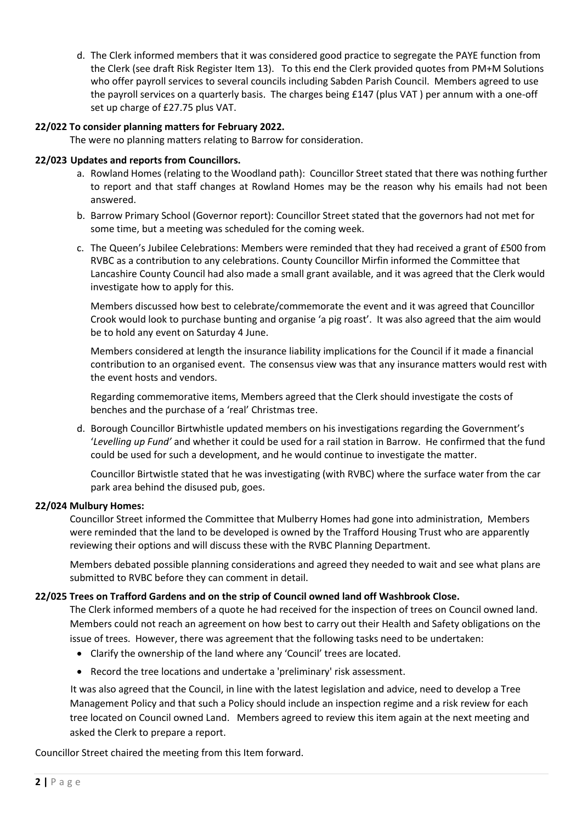d. The Clerk informed members that it was considered good practice to segregate the PAYE function from the Clerk (see draft Risk Register Item 13). To this end the Clerk provided quotes from PM+M Solutions who offer payroll services to several councils including Sabden Parish Council. Members agreed to use the payroll services on a quarterly basis. The charges being £147 (plus VAT ) per annum with a one-off set up charge of £27.75 plus VAT.

### **22/022 To consider planning matters for February 2022.**

The were no planning matters relating to Barrow for consideration.

### **22/023 Updates and reports from Councillors.**

- a. Rowland Homes (relating to the Woodland path): Councillor Street stated that there was nothing further to report and that staff changes at Rowland Homes may be the reason why his emails had not been answered.
- b. Barrow Primary School (Governor report): Councillor Street stated that the governors had not met for some time, but a meeting was scheduled for the coming week.
- c. The Queen's Jubilee Celebrations: Members were reminded that they had received a grant of £500 from RVBC as a contribution to any celebrations. County Councillor Mirfin informed the Committee that Lancashire County Council had also made a small grant available, and it was agreed that the Clerk would investigate how to apply for this.

Members discussed how best to celebrate/commemorate the event and it was agreed that Councillor Crook would look to purchase bunting and organise 'a pig roast'. It was also agreed that the aim would be to hold any event on Saturday 4 June.

Members considered at length the insurance liability implications for the Council if it made a financial contribution to an organised event. The consensus view was that any insurance matters would rest with the event hosts and vendors.

Regarding commemorative items, Members agreed that the Clerk should investigate the costs of benches and the purchase of a 'real' Christmas tree.

d. Borough Councillor Birtwhistle updated members on his investigations regarding the Government's '*Levelling up Fund'* and whether it could be used for a rail station in Barrow. He confirmed that the fund could be used for such a development, and he would continue to investigate the matter.

Councillor Birtwistle stated that he was investigating (with RVBC) where the surface water from the car park area behind the disused pub, goes.

#### **22/024 Mulbury Homes:**

Councillor Street informed the Committee that Mulberry Homes had gone into administration, Members were reminded that the land to be developed is owned by the Trafford Housing Trust who are apparently reviewing their options and will discuss these with the RVBC Planning Department.

Members debated possible planning considerations and agreed they needed to wait and see what plans are submitted to RVBC before they can comment in detail.

# **22/025 Trees on Trafford Gardens and on the strip of Council owned land off Washbrook Close.**

The Clerk informed members of a quote he had received for the inspection of trees on Council owned land. Members could not reach an agreement on how best to carry out their Health and Safety obligations on the issue of trees. However, there was agreement that the following tasks need to be undertaken:

- Clarify the ownership of the land where any 'Council' trees are located.
- Record the tree locations and undertake a 'preliminary' risk assessment.

It was also agreed that the Council, in line with the latest legislation and advice, need to develop a Tree Management Policy and that such a Policy should include an inspection regime and a risk review for each tree located on Council owned Land. Members agreed to review this item again at the next meeting and asked the Clerk to prepare a report.

Councillor Street chaired the meeting from this Item forward.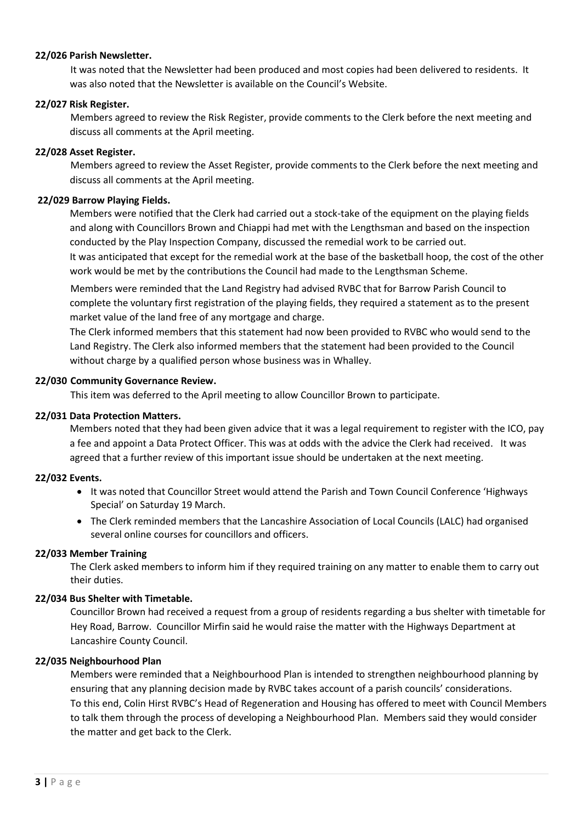### **22/026 Parish Newsletter.**

It was noted that the Newsletter had been produced and most copies had been delivered to residents. It was also noted that the Newsletter is available on the Council's Website.

## **22/027 Risk Register.**

Members agreed to review the Risk Register, provide comments to the Clerk before the next meeting and discuss all comments at the April meeting.

### **22/028 Asset Register.**

Members agreed to review the Asset Register, provide comments to the Clerk before the next meeting and discuss all comments at the April meeting.

### **22/029 Barrow Playing Fields.**

Members were notified that the Clerk had carried out a stock-take of the equipment on the playing fields and along with Councillors Brown and Chiappi had met with the Lengthsman and based on the inspection conducted by the Play Inspection Company, discussed the remedial work to be carried out.

It was anticipated that except for the remedial work at the base of the basketball hoop, the cost of the other work would be met by the contributions the Council had made to the Lengthsman Scheme.

Members were reminded that the Land Registry had advised RVBC that for Barrow Parish Council to complete the voluntary first registration of the playing fields, they required a statement as to the present market value of the land free of any mortgage and charge.

The Clerk informed members that this statement had now been provided to RVBC who would send to the Land Registry. The Clerk also informed members that the statement had been provided to the Council without charge by a qualified person whose business was in Whalley.

### **22/030 Community Governance Review.**

This item was deferred to the April meeting to allow Councillor Brown to participate.

## **22/031 Data Protection Matters.**

Members noted that they had been given advice that it was a legal requirement to register with the ICO, pay a fee and appoint a Data Protect Officer. This was at odds with the advice the Clerk had received. It was agreed that a further review of this important issue should be undertaken at the next meeting.

#### **22/032 Events.**

- It was noted that Councillor Street would attend the Parish and Town Council Conference 'Highways Special' on Saturday 19 March.
- The Clerk reminded members that the Lancashire Association of Local Councils (LALC) had organised several online courses for councillors and officers.

#### **22/033 Member Training**

The Clerk asked members to inform him if they required training on any matter to enable them to carry out their duties.

#### **22/034 Bus Shelter with Timetable.**

Councillor Brown had received a request from a group of residents regarding a bus shelter with timetable for Hey Road, Barrow. Councillor Mirfin said he would raise the matter with the Highways Department at Lancashire County Council.

#### **22/035 Neighbourhood Plan**

Members were reminded that a Neighbourhood Plan is intended to strengthen neighbourhood planning by ensuring that any planning decision made by RVBC takes account of a parish councils' considerations. To this end, Colin Hirst RVBC's Head of Regeneration and Housing has offered to meet with Council Members to talk them through the process of developing a Neighbourhood Plan. Members said they would consider the matter and get back to the Clerk.